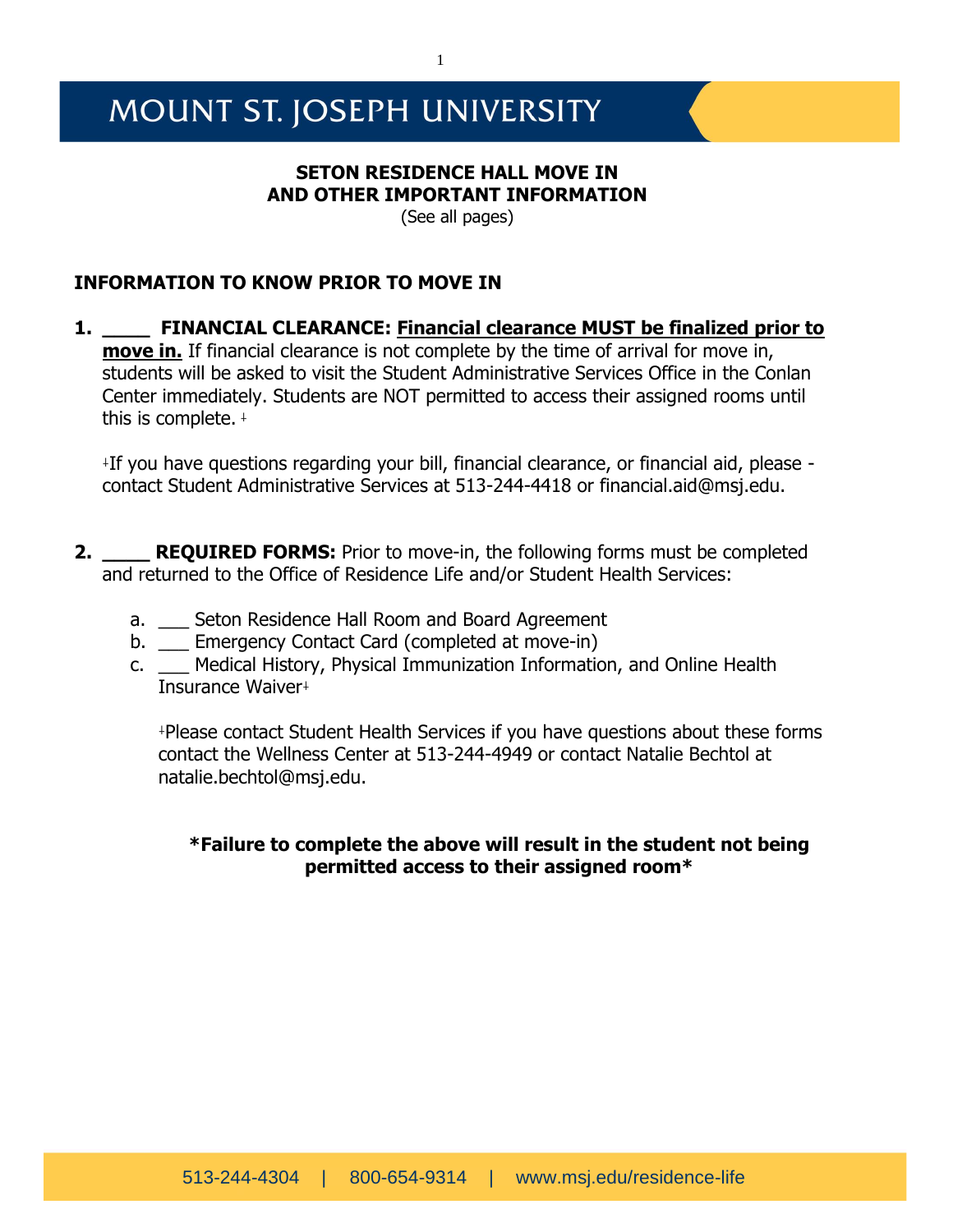# MOUNT ST. JOSEPH UNIVERSITY

# **SETON RESIDENCE HALL MOVE IN AND OTHER IMPORTANT INFORMATION**

(See all pages)

# **INFORMATION TO KNOW PRIOR TO MOVE IN**

**1. \_\_\_\_ FINANCIAL CLEARANCE: Financial clearance MUST be finalized prior to move in.** If financial clearance is not complete by the time of arrival for move in, students will be asked to visit the Student Administrative Services Office in the Conlan Center immediately. Students are NOT permitted to access their assigned rooms until this is complete.  $+$ 

⸸ If you have questions regarding your bill, financial clearance, or financial aid, please contact Student Administrative Services at 513-244-4418 or financial.aid@msj.edu.

- **2. REQUIRED FORMS:** Prior to move-in, the following forms must be completed and returned to the Office of Residence Life and/or Student Health Services:
	- a. \_\_ Seton Residence Hall Room and Board Agreement
	- b. \_\_\_ Emergency Contact Card (completed at move-in)
	- c. \_\_\_ Medical History, Physical Immunization Information, and Online Health Insurance Waiver+

⸸Please contact Student Health Services if you have questions about these forms contact the Wellness Center at 513-244-4949 or contact Natalie Bechtol at natalie.bechtol@msj.edu.

# **\*Failure to complete the above will result in the student not being permitted access to their assigned room\***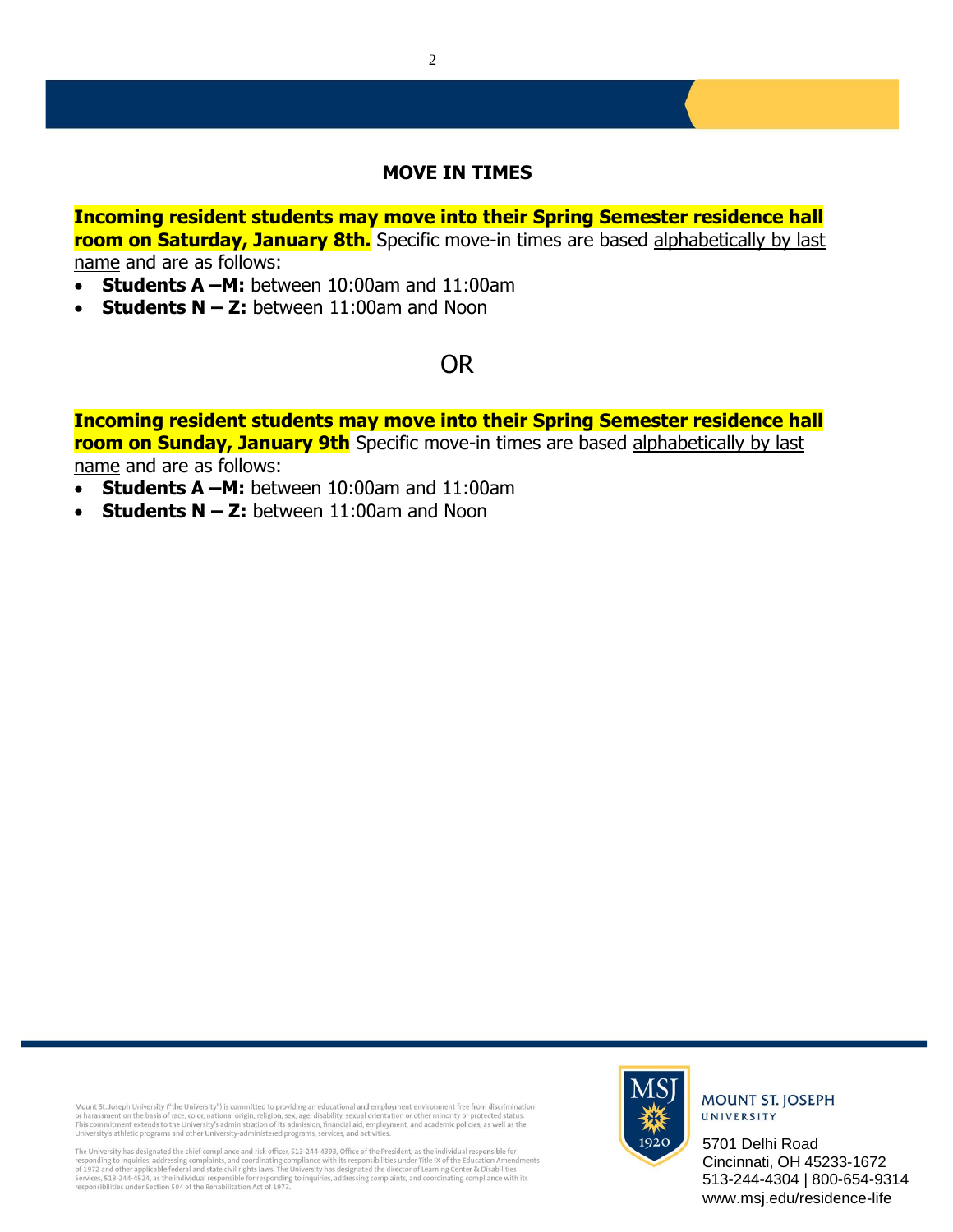# **MOVE IN TIMES**

**Incoming resident students may move into their Spring Semester residence hall room on Saturday, January 8th.** Specific move-in times are based alphabetically by last name and are as follows:

- **Students A –M:** between 10:00am and 11:00am
- **Students N – Z:** between 11:00am and Noon

# OR

**Incoming resident students may move into their Spring Semester residence hall room on Sunday, January 9th** Specific move-in times are based alphabetically by last name and are as follows:

- **Students A –M:** between 10:00am and 11:00am
- **Students N – Z:** between 11:00am and Noon

Mount St. Joseph University ("the University") is committed to providing an educational and employment environment free from discrimination<br>or harassment on the basis of race, color, national origin, religion, sex, age, di

The University has designated the chief compliance and risk officer. 513-244-4393. Office of the President, as the individual responsible for responding to inquiries, addressing complaints, and coordinating complaine with its responsibilities under Title IX of the Education Amendments<br>of 1972 and other applicable federal and state civil rights laws. The Universi



# **MOUNT ST. JOSEPH** UNIVERSITY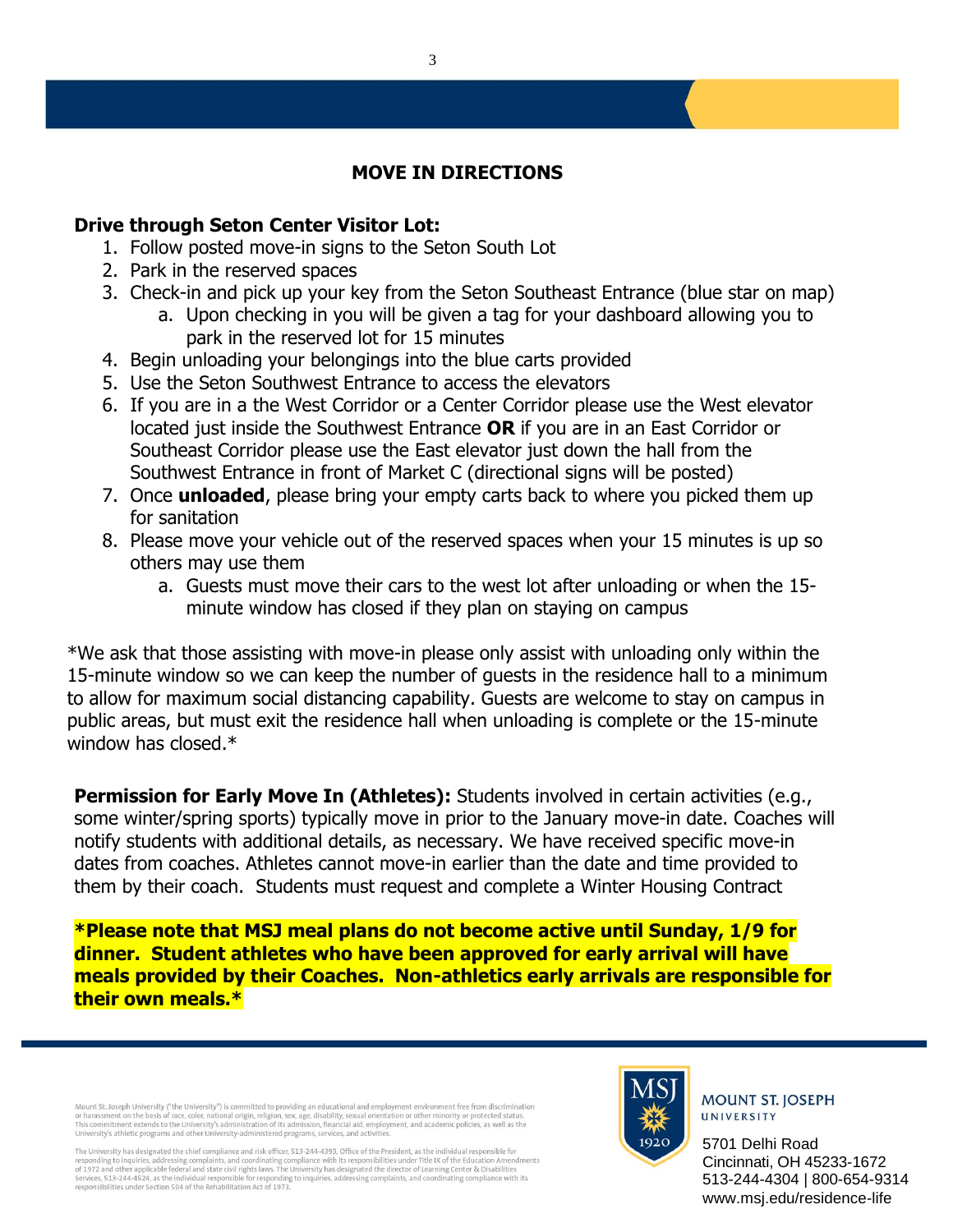# **MOVE IN DIRECTIONS**

# **Drive through Seton Center Visitor Lot:**

- 1. Follow posted move-in signs to the Seton South Lot
- 2. Park in the reserved spaces
- 3. Check-in and pick up your key from the Seton Southeast Entrance (blue star on map)
	- a. Upon checking in you will be given a tag for your dashboard allowing you to park in the reserved lot for 15 minutes
- 4. Begin unloading your belongings into the blue carts provided
- 5. Use the Seton Southwest Entrance to access the elevators
- 6. If you are in a the West Corridor or a Center Corridor please use the West elevator located just inside the Southwest Entrance **OR** if you are in an East Corridor or Southeast Corridor please use the East elevator just down the hall from the Southwest Entrance in front of Market C (directional signs will be posted)
- 7. Once **unloaded**, please bring your empty carts back to where you picked them up for sanitation
- 8. Please move your vehicle out of the reserved spaces when your 15 minutes is up so others may use them
	- a. Guests must move their cars to the west lot after unloading or when the 15 minute window has closed if they plan on staying on campus

\*We ask that those assisting with move-in please only assist with unloading only within the 15-minute window so we can keep the number of guests in the residence hall to a minimum to allow for maximum social distancing capability. Guests are welcome to stay on campus in public areas, but must exit the residence hall when unloading is complete or the 15-minute window has closed.\*

**Permission for Early Move In (Athletes):** Students involved in certain activities (e.g., some winter/spring sports) typically move in prior to the January move-in date. Coaches will notify students with additional details, as necessary. We have received specific move-in dates from coaches. Athletes cannot move-in earlier than the date and time provided to them by their coach. Students must request and complete a Winter Housing Contract

**\*Please note that MSJ meal plans do not become active until Sunday, 1/9 for dinner. Student athletes who have been approved for early arrival will have meals provided by their Coaches. Non-athletics early arrivals are responsible for their own meals.\***

Mount St. Joseph University ("the University") is committed to providing an educational and employment environment free from discrimination<br>or harassment on the basis of race, color, national origin, religion, sex, age, di

The University has designated the chief compliance and risk officer, 513-244-4393, Office of the President, as the individual responsible for responding to inquiries, addressing complaints, and coordinating complaince with its responsibilities under Title IX of the Education Amendments<br>of 1912 and other applicate defend and state civil rights laws. The Universit



**MOUNT ST. JOSEPH** UNIVERSITY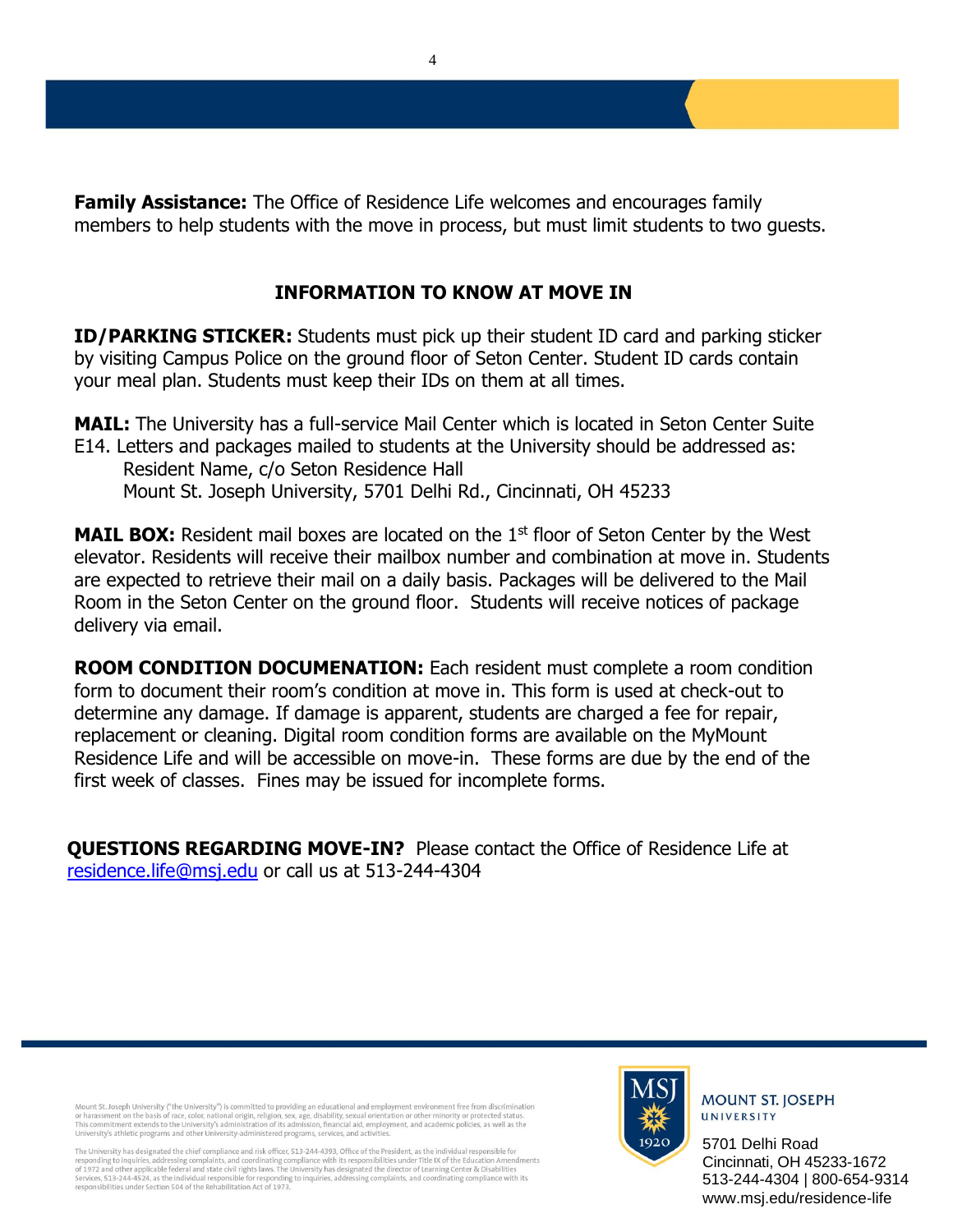**Family Assistance:** The Office of Residence Life welcomes and encourages family members to help students with the move in process, but must limit students to two guests.

# **INFORMATION TO KNOW AT MOVE IN**

**ID/PARKING STICKER:** Students must pick up their student ID card and parking sticker by visiting Campus Police on the ground floor of Seton Center. Student ID cards contain your meal plan. Students must keep their IDs on them at all times.

**MAIL:** The University has a full-service Mail Center which is located in Seton Center Suite E14. Letters and packages mailed to students at the University should be addressed as: Resident Name, c/o Seton Residence Hall Mount St. Joseph University, 5701 Delhi Rd., Cincinnati, OH 45233

**MAIL BOX:** Resident mail boxes are located on the 1<sup>st</sup> floor of Seton Center by the West elevator. Residents will receive their mailbox number and combination at move in. Students are expected to retrieve their mail on a daily basis. Packages will be delivered to the Mail Room in the Seton Center on the ground floor. Students will receive notices of package delivery via email.

**ROOM CONDITION DOCUMENATION:** Each resident must complete a room condition form to document their room's condition at move in. This form is used at check-out to determine any damage. If damage is apparent, students are charged a fee for repair, replacement or cleaning. Digital room condition forms are available on the MyMount Residence Life and will be accessible on move-in. These forms are due by the end of the first week of classes. Fines may be issued for incomplete forms.

**QUESTIONS REGARDING MOVE-IN?** Please contact the Office of Residence Life at [residence.life@msj.edu](mailto:residence.life@msj.edu) or call us at 513-244-4304

Mount St. Joseph University ("the University") is committed to providing an educational and employment environment free from discrimination<br>or harassment on the basis of race, color, national origin, religion, sex, age, di

The University has designated the chief compliance and risk officer, 513-244-4393, Office of the President, as the individual responsible for responding to inquiries, addressing complaints, and coordinating complaince with its responsibilities under Title IX of the Education Amendments<br>of 1912 and other applicate defend and state civil rights laws. The Universit



# **MOUNT ST. JOSEPH** UNIVERSITY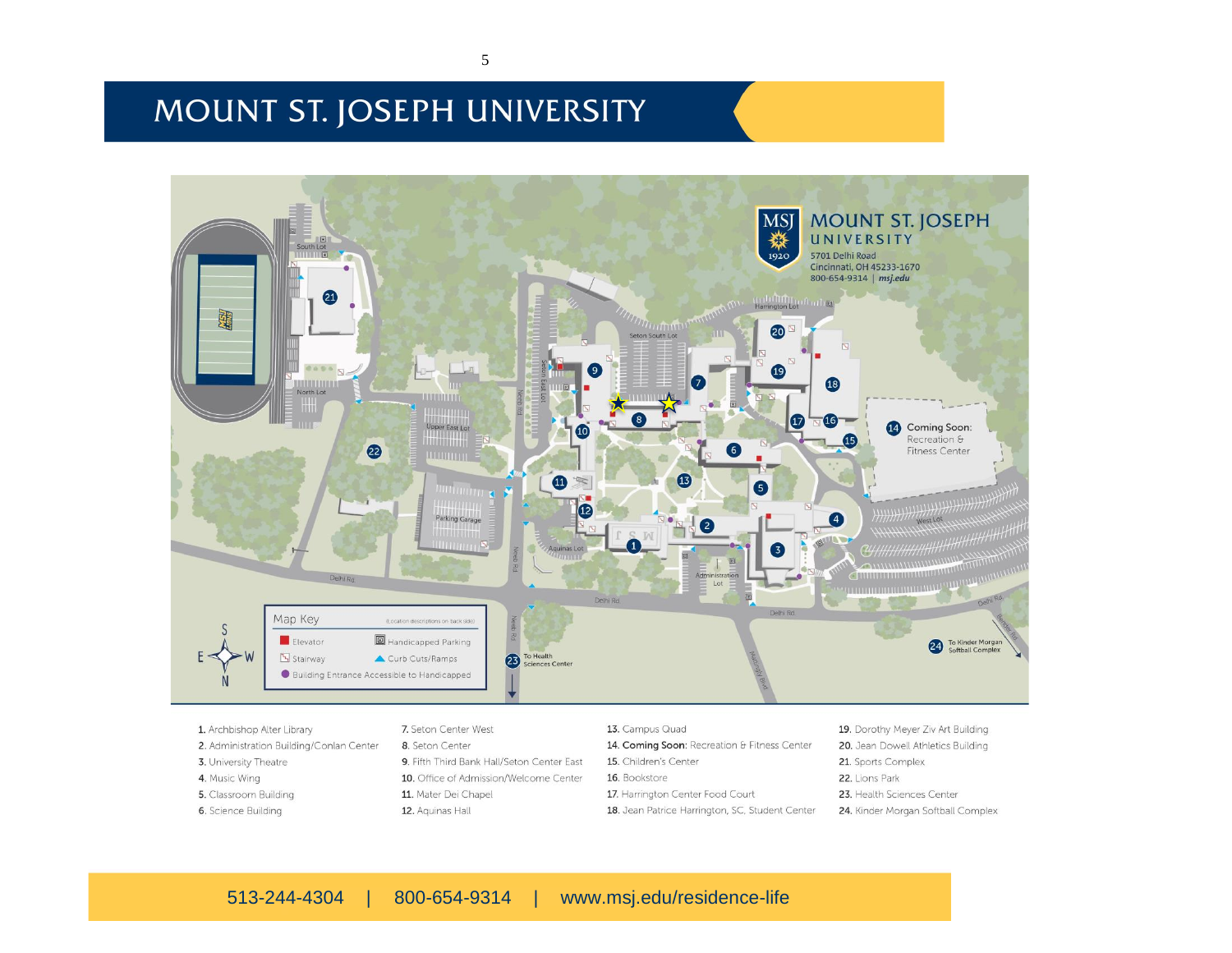# MOUNT ST. JOSEPH UNIVERSITY



1. Archbishop Alter Library 2. Administration Building/Conlan Center 3. University Theatre 4. Music Wing 5. Classroom Building 6. Science Building

# 7. Seton Center West 8. Seton Center 9. Fifth Third Bank Hall/Seton Center East

10. Office of Admission/Welcome Center 11. Mater Dei Chapel 12. Aquinas Hall

### 13. Campus Quad

- 14. Coming Soon: Recreation & Fitness Center
- 15. Children's Center
- 16. Bookstore
- 17. Harrington Center Food Court
- 18. Jean Patrice Harrington, SC, Student Center

19. Dorothy Meyer Ziv Art Building 20. Jean Dowell Athletics Building 21. Sports Complex 22. Lions Park 23. Health Sciences Center 24. Kinder Morgan Softball Complex